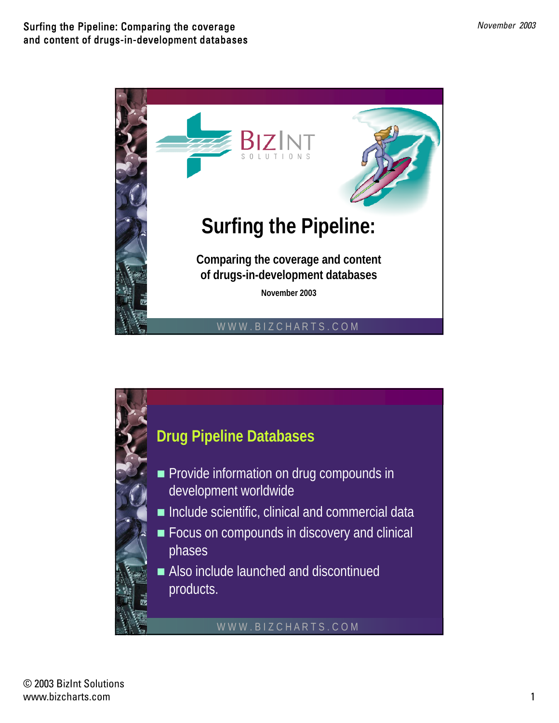

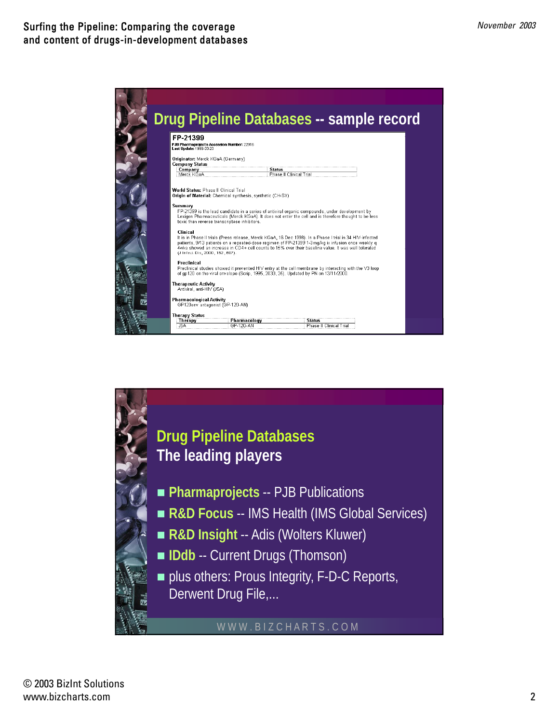

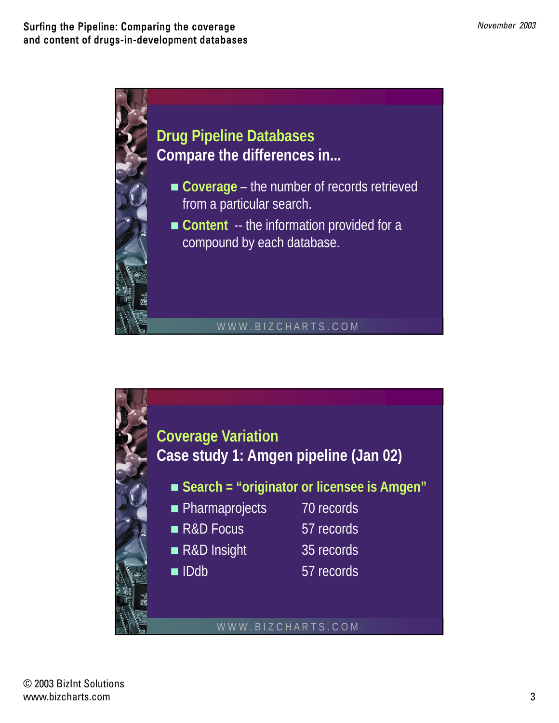

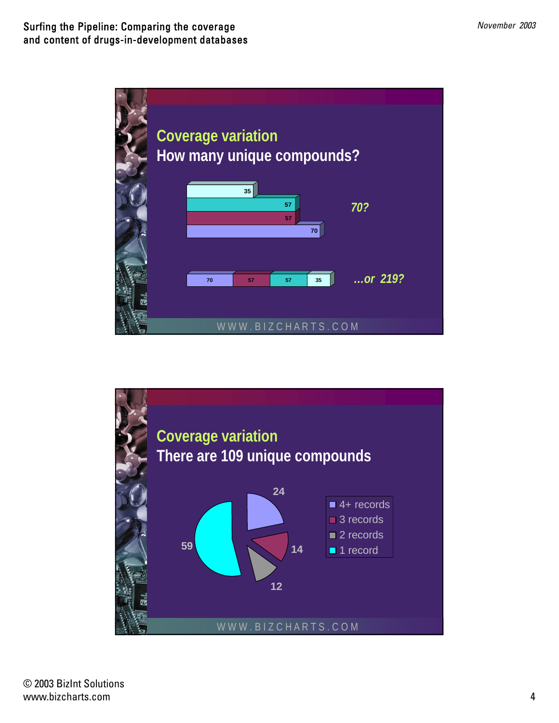

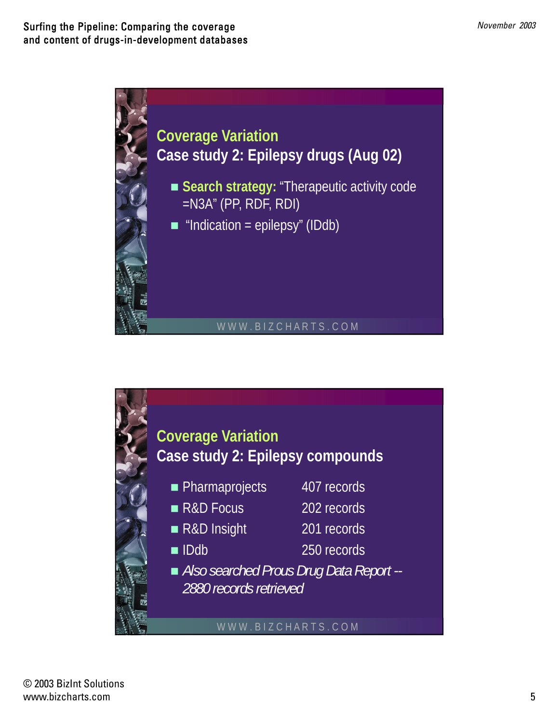

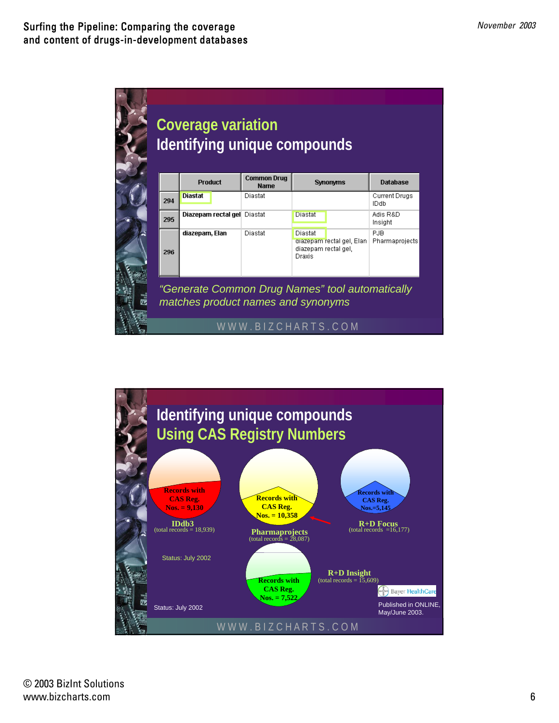| <b>Common Drug</b><br><b>Product</b><br><b>Synonyms</b><br><b>Name</b><br>Diastat<br>Diastat<br>294<br>Diazepam rectal gel Diastat<br>Diastat<br>295<br>diazepam, Elan<br>Diastat<br>Diastat<br>diazepam rectal gel, Elan |                              |  |  | Identifying unique compounds |
|---------------------------------------------------------------------------------------------------------------------------------------------------------------------------------------------------------------------------|------------------------------|--|--|------------------------------|
|                                                                                                                                                                                                                           | <b>Database</b>              |  |  |                              |
|                                                                                                                                                                                                                           | <b>Current Drugs</b><br>IDdb |  |  |                              |
|                                                                                                                                                                                                                           | Adis R&D<br>Insight          |  |  |                              |
| diazepam rectal gel,<br>296<br>Draxis                                                                                                                                                                                     | PJB<br>Pharmaprojects        |  |  |                              |

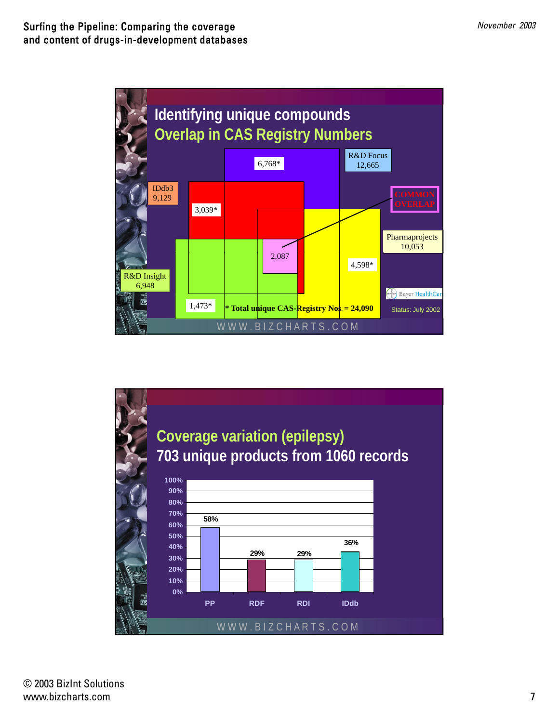

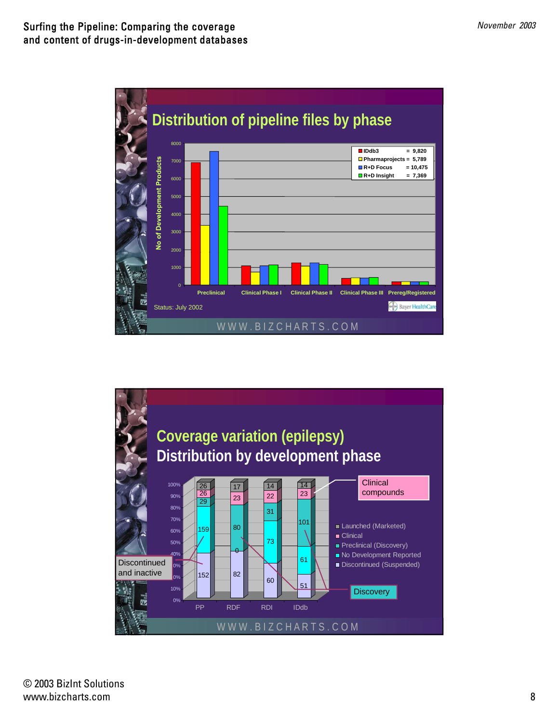

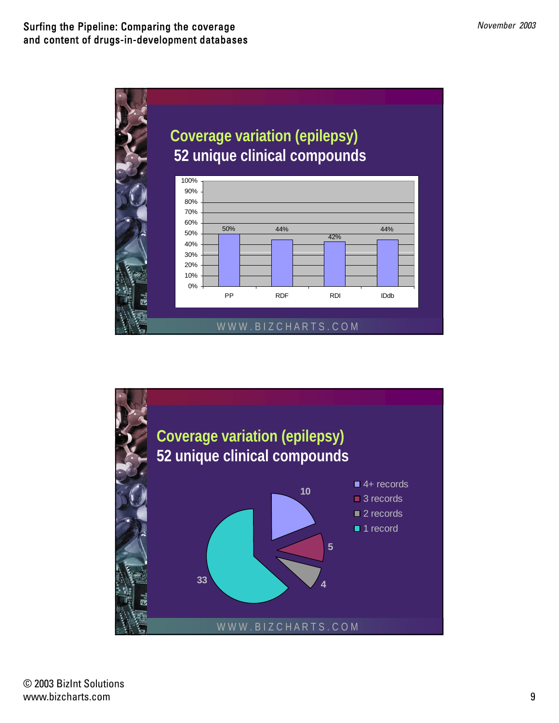



© 2003 BizInt Solutions www.bizcharts.com 9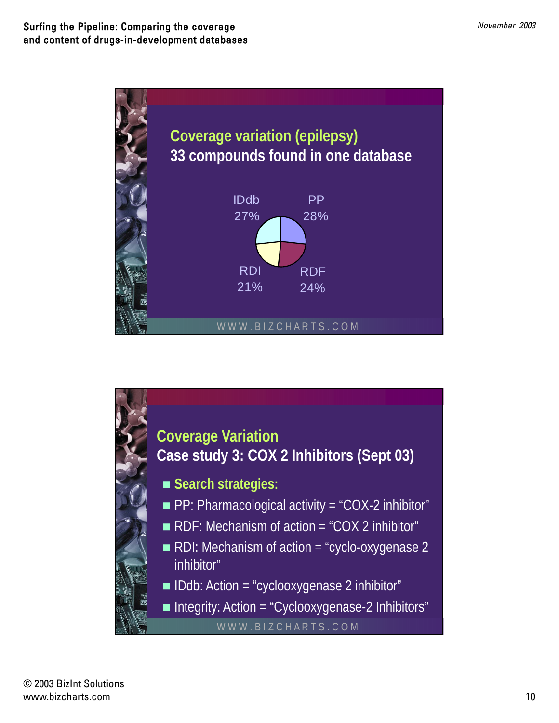

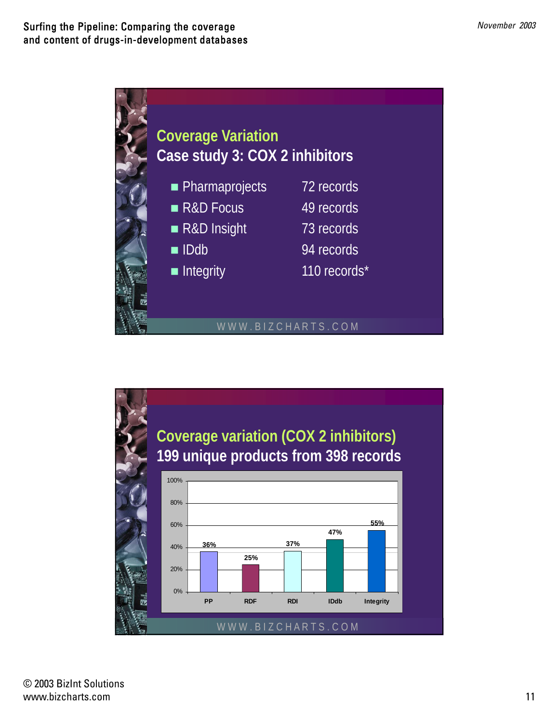

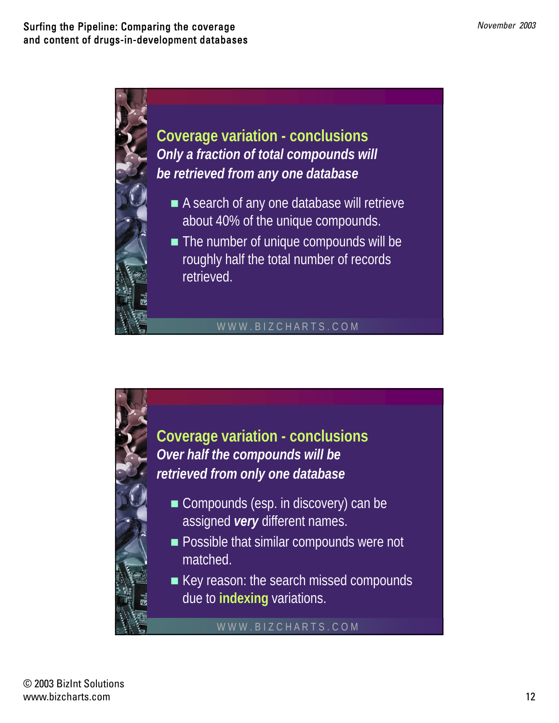

**Coverage variation - conclusions** *Only a fraction of total compounds will b t i d f d t b be retrieved from any one database*

- A search of any one database will retrieve about 40% of the unique compounds.
- The number of unique compounds will be roughly half the total number of records

## WWW.BIZCHARTS.COM

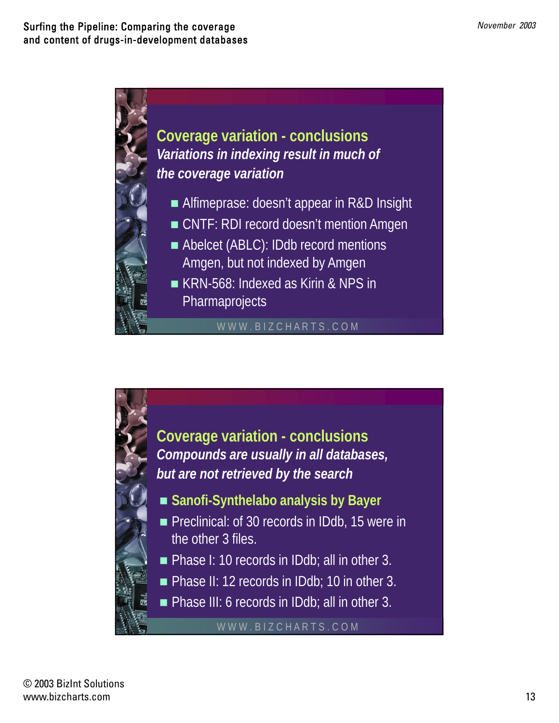

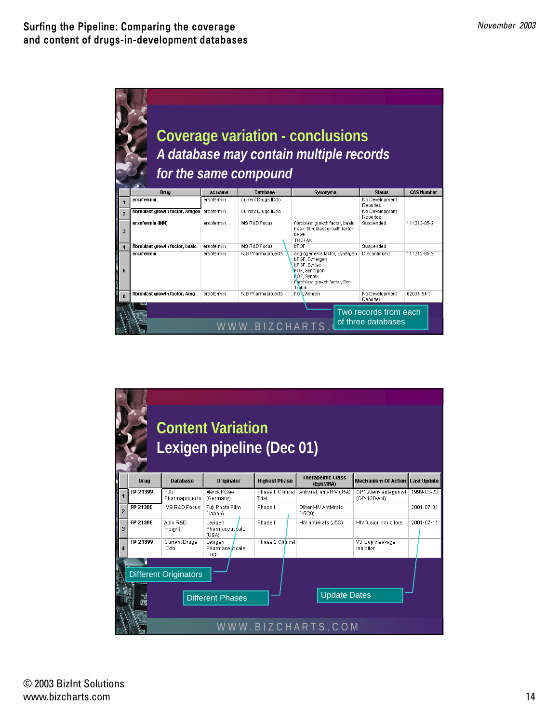

|                |          |                              | <b>Content Variation</b><br>Lexigen pipeline (Dec 01) |                            |                                      |                                        |            |
|----------------|----------|------------------------------|-------------------------------------------------------|----------------------------|--------------------------------------|----------------------------------------|------------|
|                | Drug     | <b>Database</b>              | Originator                                            | <b>Highest Phase</b>       | <b>Therapeutic Class</b><br>(EphMRA) | <b>Mechanism Of Action Last Update</b> |            |
|                | FP-21399 | PJB<br>Pharmaprojects        | Merck KGaA<br>(Germany)                               | Phase II Clinical<br>Trial | Antiviral, anti-HIV (J5A)            | GP120env antagonist<br>(GP-120-AN)     | 1999-03-23 |
| $\overline{2}$ | FP 21399 | <b>IMS R&amp;D Focus</b>     | Fuji Photo Film<br>(Japan)                            | Phase I                    | Other HIV Antivirals<br>(J5C9)       |                                        | 2001-07-01 |
| 3              | FP 21399 | Adis R&D<br>Insight          | Lexigen<br><b>Pharmaceutidals</b><br>(USA)            | Phase II                   | HIV antivirals (J5C)                 | HIV fusion inhibitors                  | 2001-07-11 |
|                | FP-21399 | <b>Current Drugs</b><br>IDdb | Lexigen<br>Pharmaceuticals<br>Corp                    | Phase 2 Clinical           |                                      | V3 loop cleavage<br>inhibitor          |            |
|                |          | <b>Different Originators</b> | <b>Different Phases</b>                               |                            | <b>Update Dates</b>                  |                                        |            |
|                |          |                              |                                                       |                            | WWW.BIZCHARTS.COM                    |                                        |            |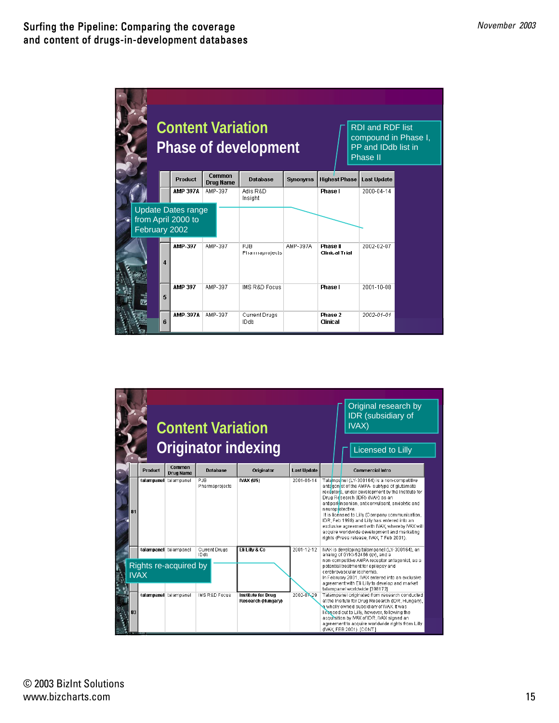|               |    |                                                 | <b>Content Variation</b><br><b>Phase of development</b> |                              |                 |                                   | <b>RDI</b> and RDF list<br>compound in Phase I,<br>PP and IDdb list in<br>Phase II |  |  |
|---------------|----|-------------------------------------------------|---------------------------------------------------------|------------------------------|-----------------|-----------------------------------|------------------------------------------------------------------------------------|--|--|
|               |    | <b>Product</b>                                  | Common<br><b>Drug Name</b>                              | <b>Database</b>              | <b>Synonyms</b> | <b>Highest Phase</b>              | <b>Last Update</b>                                                                 |  |  |
|               |    | <b>AMP 397A</b>                                 | AMP-397                                                 | Adis R&D<br>Insight          |                 | Phase I                           | 2000-04-14                                                                         |  |  |
| February 2002 |    | <b>Update Dates range</b><br>from April 2000 to |                                                         |                              |                 |                                   |                                                                                    |  |  |
|               | 4  | AMP-397                                         | AMP-397                                                 | PJB<br>Pharmaprojects        | AMP-397A        | Phase II<br><b>Clinical Trial</b> | 2002-02-07                                                                         |  |  |
|               | 5  | AMP 397                                         | AMP-397                                                 | <b>IMS R&amp;D Focus</b>     |                 | <b>Phase I</b>                    | 2001-10-08                                                                         |  |  |
|               | ĥ. | <b>AMP-397A</b>                                 | AMP-397                                                 | <b>Current Drugs</b><br>IDdb |                 | Phase 2<br>Clinical               | 2002-01-01                                                                         |  |  |

|    | <b>Product</b> | <b>Common</b><br><b>Drug Name</b>                                       | <b>Content Variation</b><br><b>Database</b> | Originator indexing<br>Originator                                 | <b>Last Update</b>       | Original research by<br>IDR (subsidiary of<br>IVAX)<br><b>Licensed to Lilly</b><br><b>Commercial Intro</b>                                                                                                                                                                                                                                                                                                                                                                                                                                          |
|----|----------------|-------------------------------------------------------------------------|---------------------------------------------|-------------------------------------------------------------------|--------------------------|-----------------------------------------------------------------------------------------------------------------------------------------------------------------------------------------------------------------------------------------------------------------------------------------------------------------------------------------------------------------------------------------------------------------------------------------------------------------------------------------------------------------------------------------------------|
| 81 |                | talampanel talampanel                                                   | PJB<br>Pharmaprojects                       | <b>NAX (US)</b>                                                   | 2001-06-14               | Talampanel (LY-300164) is a non-competitive<br>antagon st of the AMPA- subtype of glutamate<br>receptors, under development by the institute for<br>Drug Research (IDR) (IVAX) as an<br>antiparkinsonian, anticonvulsant, anxiolytic and<br>neuroprotective.<br>It is licensed to Lilly (Company communication,<br>IDR, Feb 1998) and Lilly has entered into an<br>exclusive agreement with IVAX, whereby IVAX will<br>acquire worldwide development and marketing<br>rights (Press release, IVAX, 7 Feb 2001).                                     |
| 83 | <b>IVAX</b>    | talampanel talampanel<br>Rights re-acquired by<br>talampanel talampanel | Current Drugs<br>IDdb<br>IMS R&D Focus      | Eli Lilly & Co<br><b>Institute for Drug</b><br>Research (Hungary) | 2001-12-12<br>2002-07-29 | IVAX is developing talampanel (LY-300164), an<br>analog of GYKI-52466 (gv), and a<br>non-competitive AMPA receptor antagonist, as a<br>potential treatment for epilepsy and<br>cerebrovascular ischemia.<br>In February 2001, IVAX entered into an exclusive<br>agreement with Eli Lilly to develop and market<br>talampanel worldwide [398172]<br>Talampanel originated from research conducted<br>at the Insitute for Drug Research (IDR, Hungary),<br>a wholly owned subsidiary of IVAX. It was<br>licensed out to Lilly, however, following the |
|    |                |                                                                         |                                             |                                                                   |                          | acquisition by IVAX of IDR, IVAX signed an<br>agreement to acquire worldwide rights from Lilly<br>(IVAX, FEB 2001). [CONT.]                                                                                                                                                                                                                                                                                                                                                                                                                         |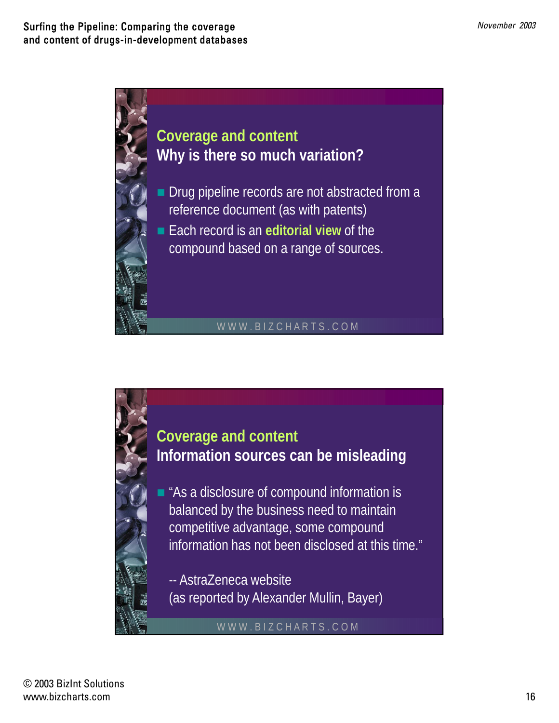

## WWW.BIZCHARTS.COM



**Coverage and content Information sources can be misleading**

As a disclosure of compound information is balanced by the business need to maintain competitive advantage, some compound information has not been disclosed at this time."

-- AstraZeneca website (as reported by Alexander Mullin, Bayer)

WWW.BIZCHARTS.COM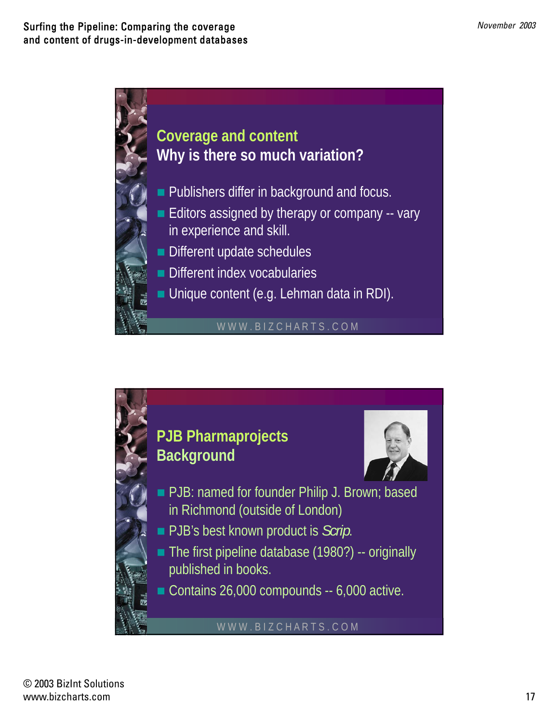

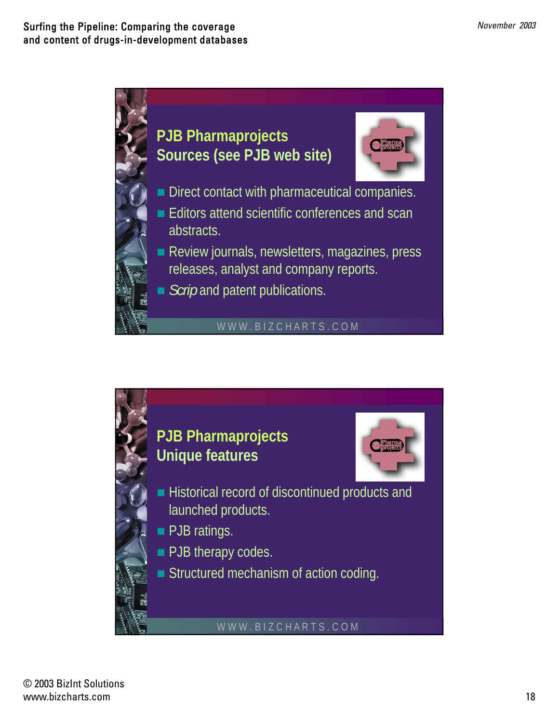

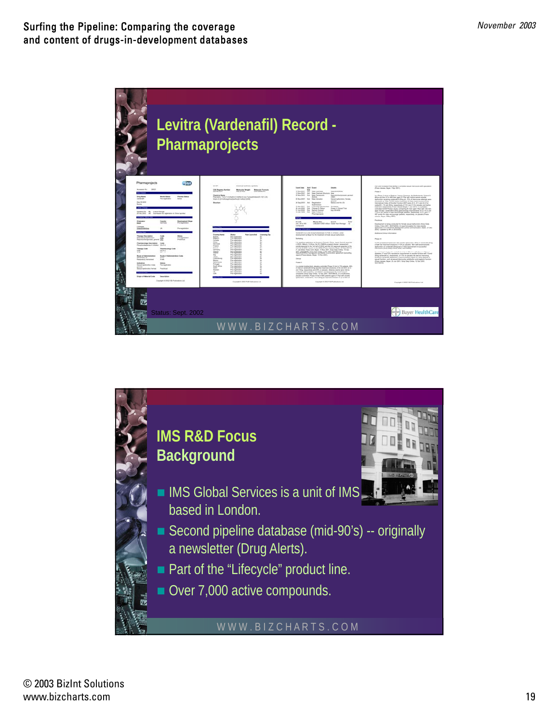

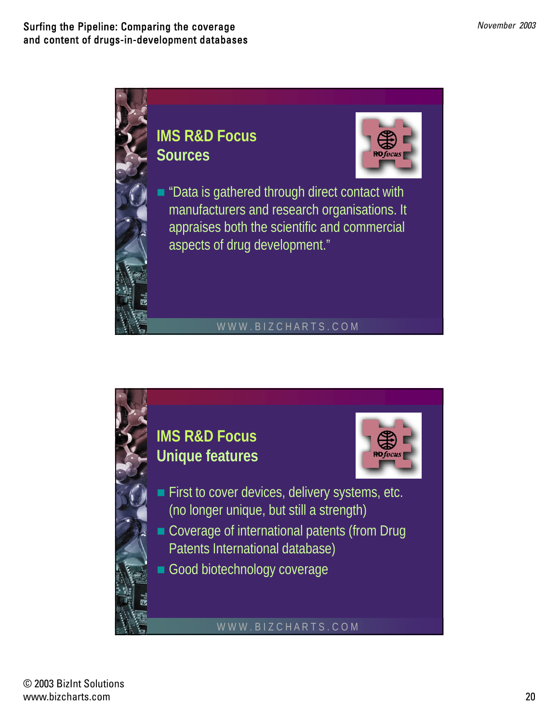

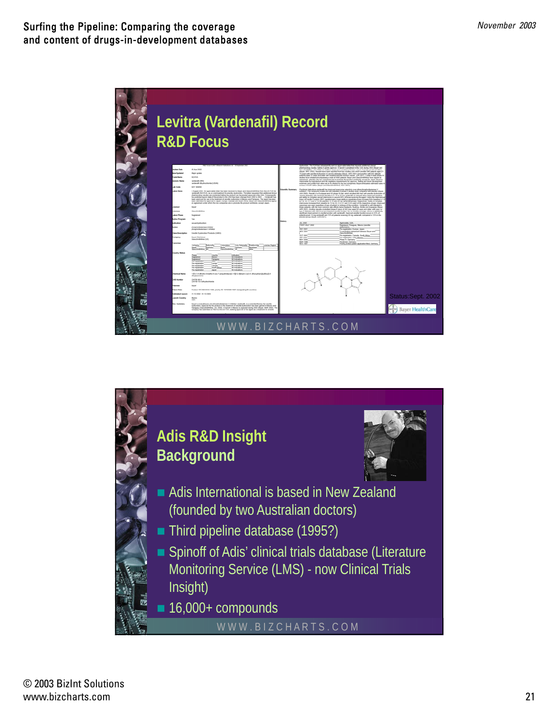

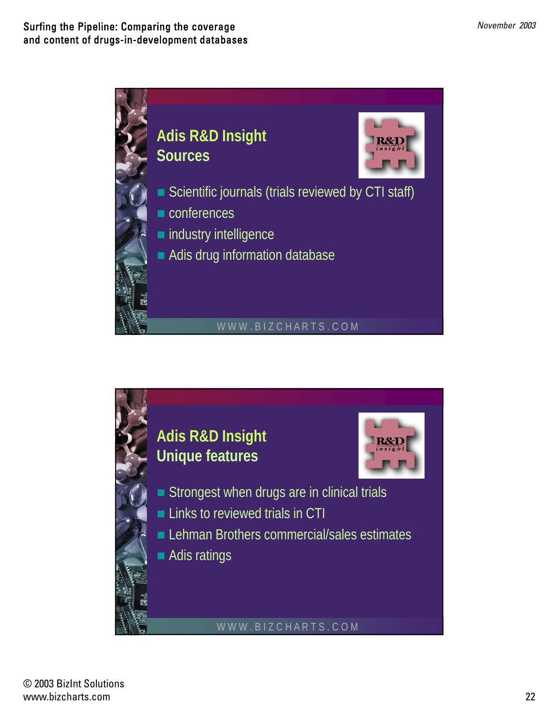

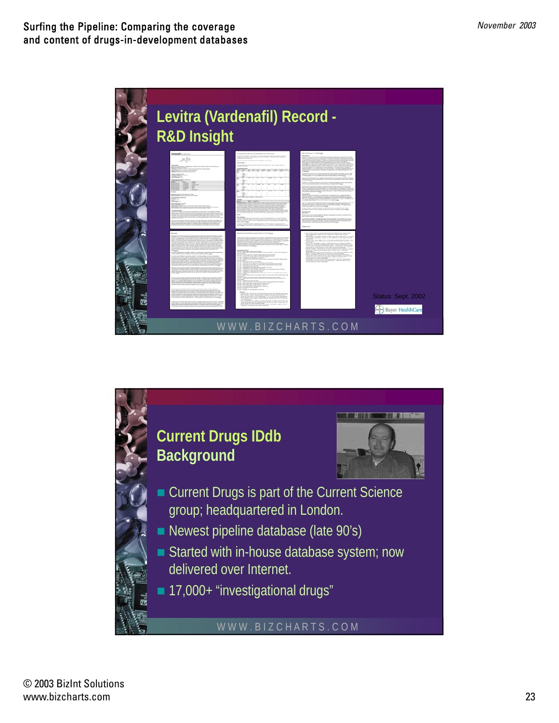

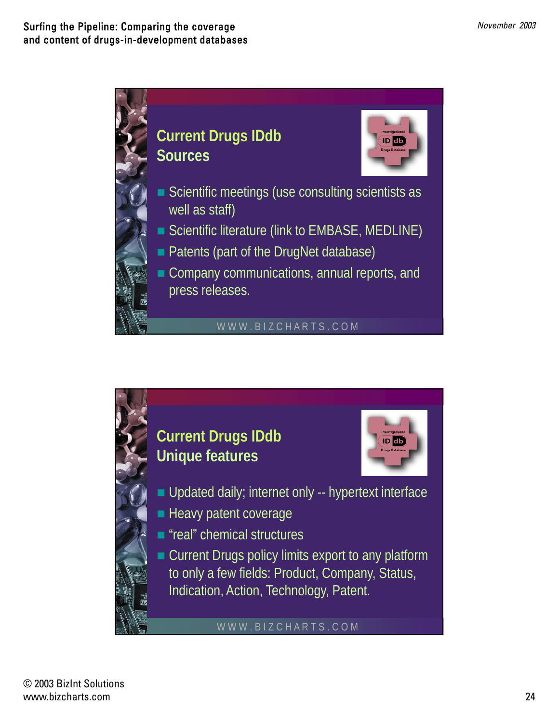

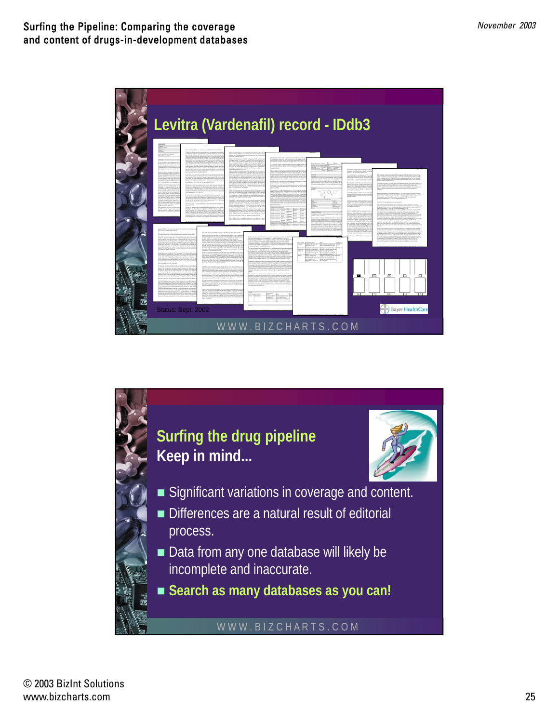